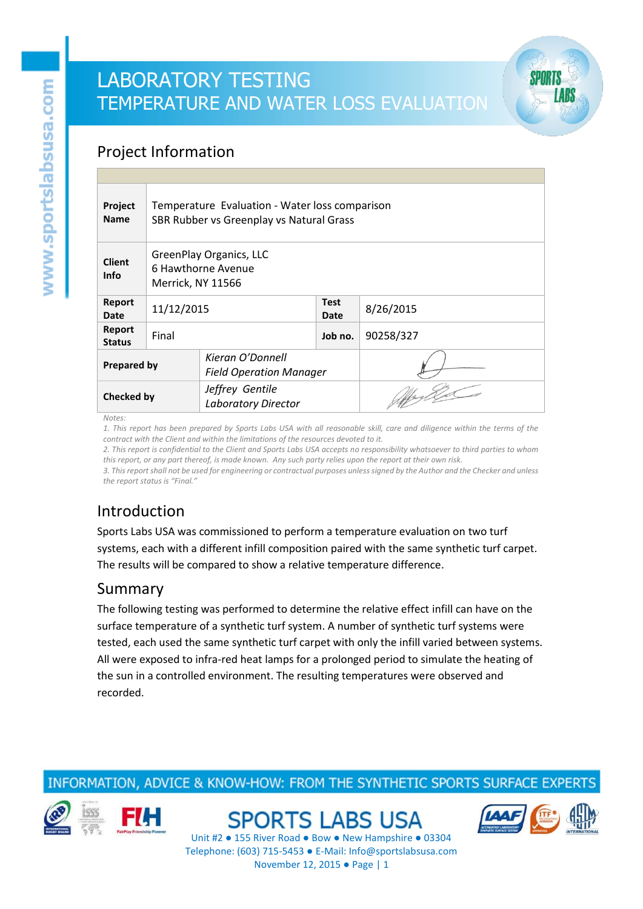### Project Information

| Project<br><b>Name</b>       | Temperature Evaluation - Water loss comparison<br>SBR Rubber vs Greenplay vs Natural Grass |                                                    |                     |           |  |
|------------------------------|--------------------------------------------------------------------------------------------|----------------------------------------------------|---------------------|-----------|--|
| <b>Client</b><br><b>Info</b> | <b>GreenPlay Organics, LLC</b><br>6 Hawthorne Avenue<br>Merrick, NY 11566                  |                                                    |                     |           |  |
| Report<br>Date               | 11/12/2015                                                                                 |                                                    | <b>Test</b><br>Date | 8/26/2015 |  |
| Report<br><b>Status</b>      | Final                                                                                      |                                                    | Job no.             | 90258/327 |  |
| <b>Prepared by</b>           |                                                                                            | Kieran O'Donnell<br><b>Field Operation Manager</b> |                     |           |  |
| Checked by                   |                                                                                            | Jeffrey Gentile<br><b>Laboratory Director</b>      |                     |           |  |

*Notes:*

*1. This report has been prepared by Sports Labs USA with all reasonable skill, care and diligence within the terms of the contract with the Client and within the limitations of the resources devoted to it.*

*2. This report is confidential to the Client and Sports Labs USA accepts no responsibility whatsoever to third parties to whom this report, or any part thereof, is made known. Any such party relies upon the report at their own risk.*

*3. This report shall not be used for engineering or contractual purposes unless signed by the Author and the Checker and unless the report status is "Final."*

## Introduction

Sports Labs USA was commissioned to perform a temperature evaluation on two turf systems, each with a different infill composition paired with the same synthetic turf carpet. The results will be compared to show a relative temperature difference.

#### Summary

The following testing was performed to determine the relative effect infill can have on the surface temperature of a synthetic turf system. A number of synthetic turf systems were tested, each used the same synthetic turf carpet with only the infill varied between systems. All were exposed to infra-red heat lamps for a prolonged period to simulate the heating of the sun in a controlled environment. The resulting temperatures were observed and recorded.

### INFORMATION, ADVICE & KNOW-HOW: FROM THE SYNTHETIC SPORTS SURFACE EXPERT





**SPORTS LABS USA** 

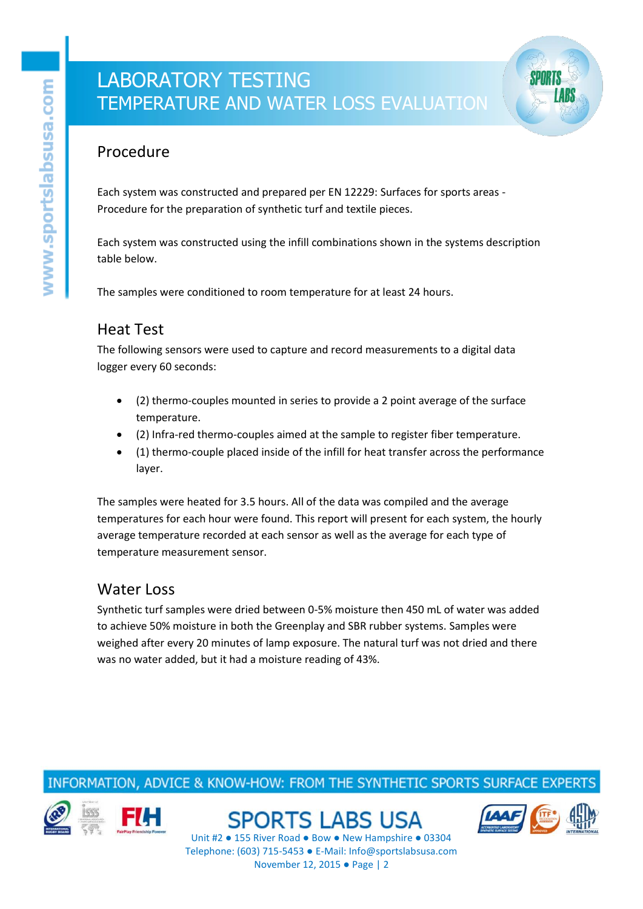

#### Procedure

Each system was constructed and prepared per EN 12229: Surfaces for sports areas - Procedure for the preparation of synthetic turf and textile pieces.

Each system was constructed using the infill combinations shown in the systems description table below.

The samples were conditioned to room temperature for at least 24 hours.

#### Heat Test

The following sensors were used to capture and record measurements to a digital data logger every 60 seconds:

- (2) thermo-couples mounted in series to provide a 2 point average of the surface temperature.
- (2) Infra-red thermo-couples aimed at the sample to register fiber temperature.
- (1) thermo-couple placed inside of the infill for heat transfer across the performance layer.

The samples were heated for 3.5 hours. All of the data was compiled and the average temperatures for each hour were found. This report will present for each system, the hourly average temperature recorded at each sensor as well as the average for each type of temperature measurement sensor.

#### Water Loss

Synthetic turf samples were dried between 0-5% moisture then 450 mL of water was added to achieve 50% moisture in both the Greenplay and SBR rubber systems. Samples were weighed after every 20 minutes of lamp exposure. The natural turf was not dried and there was no water added, but it had a moisture reading of 43%.

### INFORMATION, ADVICE & KNOW-HOW: FROM THE SYNTHETIC SPORTS SURFACE EXPERT



**SPORTS LABS USA** 

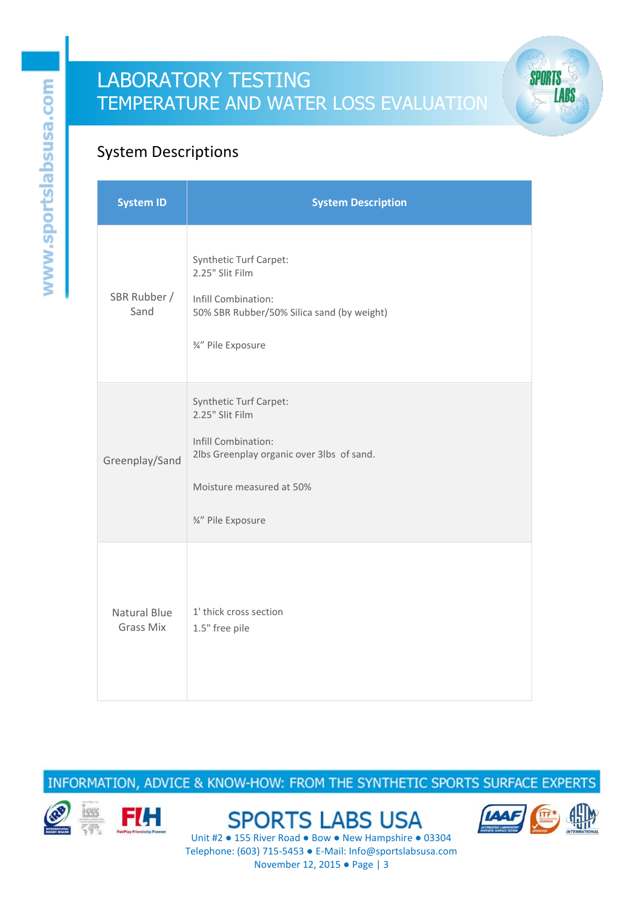

## System Descriptions

| <b>System ID</b>                 | <b>System Description</b>                                                                                                                                       |
|----------------------------------|-----------------------------------------------------------------------------------------------------------------------------------------------------------------|
| SBR Rubber /<br>Sand             | <b>Synthetic Turf Carpet:</b><br>2.25" Slit Film<br>Infill Combination:<br>50% SBR Rubber/50% Silica sand (by weight)<br>3/4" Pile Exposure                     |
| Greenplay/Sand                   | Synthetic Turf Carpet:<br>2.25" Slit Film<br>Infill Combination:<br>2lbs Greenplay organic over 3lbs of sand.<br>Moisture measured at 50%<br>3/4" Pile Exposure |
| Natural Blue<br><b>Grass Mix</b> | 1' thick cross section<br>1.5" free pile                                                                                                                        |

INFORMATION, ADVICE & KNOW-HOW: FROM THE SYNTHETIC SPORTS SURFACE EXPERTS



**SPORTS LABS USA** 

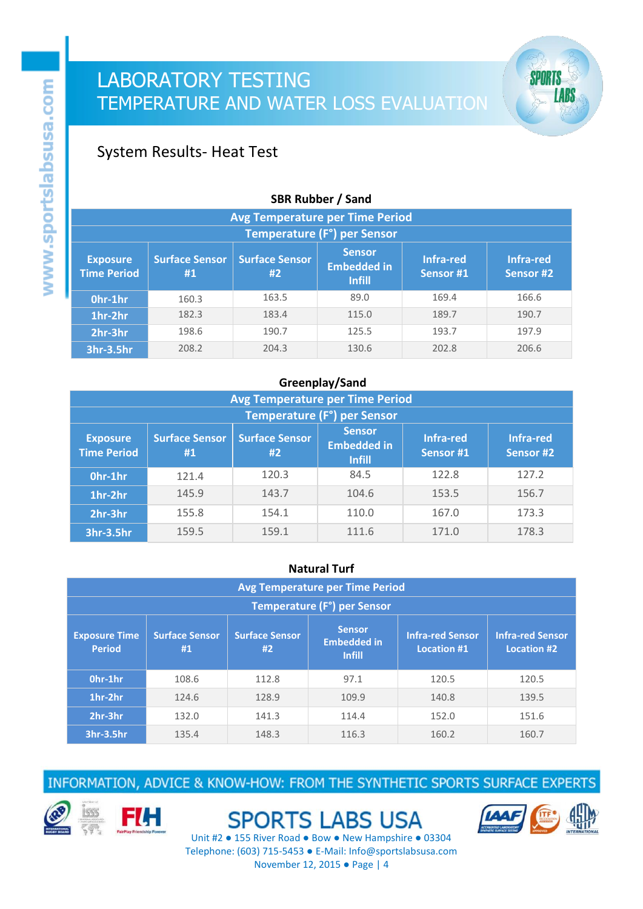### System Results- Heat Test

| <b>SDR RUDDEL</b> / Sand                                                                                                                                                                                        |                                        |       |       |       |       |  |  |
|-----------------------------------------------------------------------------------------------------------------------------------------------------------------------------------------------------------------|----------------------------------------|-------|-------|-------|-------|--|--|
|                                                                                                                                                                                                                 | <b>Avg Temperature per Time Period</b> |       |       |       |       |  |  |
| Temperature (F°) per Sensor                                                                                                                                                                                     |                                        |       |       |       |       |  |  |
| <b>Sensor</b><br><b>Surface Sensor</b><br><b>Surface Sensor</b><br>Infra-red<br>Infra-red<br><b>Exposure</b><br><b>Embedded in</b><br><b>Time Period</b><br>Sensor #1<br>Sensor #2<br>#2<br>#1<br><b>Infill</b> |                                        |       |       |       |       |  |  |
| Ohr-1hr                                                                                                                                                                                                         | 160.3                                  | 163.5 | 89.0  | 169.4 | 166.6 |  |  |
| 1hr-2hr                                                                                                                                                                                                         | 182.3                                  | 183.4 | 115.0 | 189.7 | 190.7 |  |  |
| 2hr-3hr                                                                                                                                                                                                         | 198.6                                  | 190.7 | 125.5 | 193.7 | 197.9 |  |  |
| 3hr-3.5hr                                                                                                                                                                                                       | 208.2                                  | 204.3 | 130.6 | 202.8 | 206.6 |  |  |

#### **SBR Rubber / Sand**

#### **Greenplay/Sand**

| <b>Avg Temperature per Time Period</b>                                                                                                                                                                          |                             |       |       |       |       |  |
|-----------------------------------------------------------------------------------------------------------------------------------------------------------------------------------------------------------------|-----------------------------|-------|-------|-------|-------|--|
|                                                                                                                                                                                                                 | Temperature (F°) per Sensor |       |       |       |       |  |
| <b>Sensor</b><br><b>Surface Sensor</b><br><b>Surface Sensor</b><br>Infra-red<br>Infra-red<br><b>Exposure</b><br><b>Embedded in</b><br><b>Time Period</b><br>Sensor #1<br>Sensor #2<br>#1<br>#2<br><b>Infill</b> |                             |       |       |       |       |  |
| Ohr-1hr                                                                                                                                                                                                         | 121.4                       | 120.3 | 84.5  | 122.8 | 127.2 |  |
| 1hr-2hr                                                                                                                                                                                                         | 145.9                       | 143.7 | 104.6 | 153.5 | 156.7 |  |
| 2hr-3hr                                                                                                                                                                                                         | 155.8                       | 154.1 | 110.0 | 167.0 | 173.3 |  |
| 3hr-3.5hr                                                                                                                                                                                                       | 159.5                       | 159.1 | 111.6 | 171.0 | 178.3 |  |

#### **Natural Turf**

| <b>Avg Temperature per Time Period</b>                                                                                                                                                                                             |       |       |       |       |                         |  |
|------------------------------------------------------------------------------------------------------------------------------------------------------------------------------------------------------------------------------------|-------|-------|-------|-------|-------------------------|--|
| Temperature (F°) per Sensor                                                                                                                                                                                                        |       |       |       |       |                         |  |
| <b>Sensor</b><br><b>Infra-red Sensor</b><br><b>Surface Sensor</b><br><b>Surface Sensor</b><br><b>Exposure Time</b><br><b>Embedded in</b><br><b>Period</b><br>#2<br><b>Location #1</b><br><b>Location #2</b><br>#1<br><b>Infill</b> |       |       |       |       | <b>Infra-red Sensor</b> |  |
| Ohr-1hr                                                                                                                                                                                                                            | 108.6 | 112.8 | 97.1  | 120.5 | 120.5                   |  |
| 1hr-2hr                                                                                                                                                                                                                            | 124.6 | 128.9 | 109.9 | 140.8 | 139.5                   |  |
| 2hr-3hr                                                                                                                                                                                                                            | 132.0 | 141.3 | 114.4 | 152.0 | 151.6                   |  |
| 3hr-3.5hr                                                                                                                                                                                                                          | 135.4 | 148.3 | 116.3 | 160.2 | 160.7                   |  |

INFORMATION, ADVICE & KNOW-HOW: FROM THE SYNTHETIC SPORTS SURFACE EXPERTS



**FIH** 

**SPORTS LABS USA** 



**SPORTS** 

**LABS**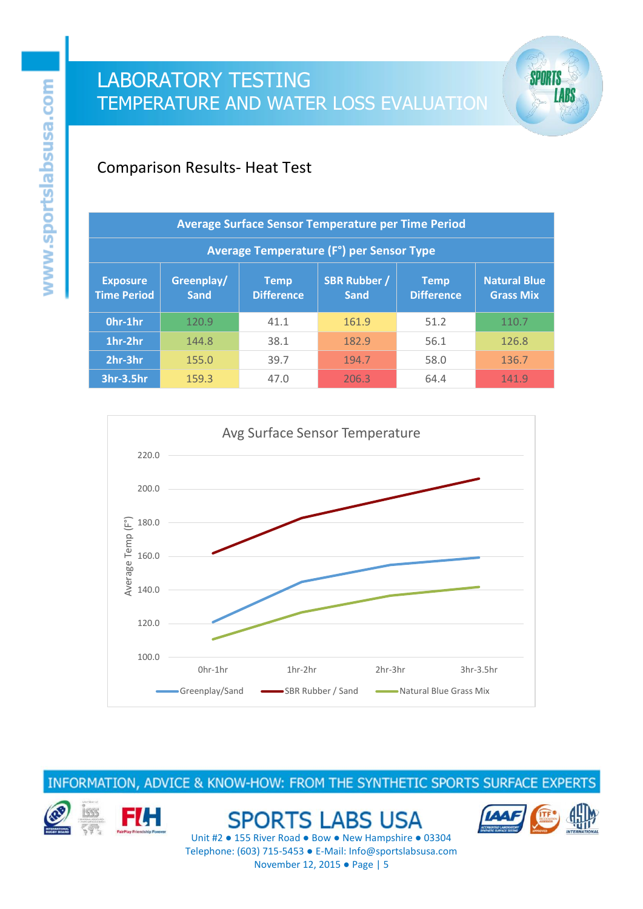### Comparison Results- Heat Test

| Average Surface Sensor Temperature per Time Period |                           |                                  |                                    |                           |                                         |  |
|----------------------------------------------------|---------------------------|----------------------------------|------------------------------------|---------------------------|-----------------------------------------|--|
| <b>Average Temperature (F°) per Sensor Type</b>    |                           |                                  |                                    |                           |                                         |  |
| <b>Exposure</b><br><b>Time Period</b>              | Greenplay/<br><b>Sand</b> | <b>Temp</b><br><b>Difference</b> | <b>SBR Rubber /</b><br><b>Sand</b> | Temp<br><b>Difference</b> | <b>Natural Blue</b><br><b>Grass Mix</b> |  |
| Ohr-1hr                                            | 120.9                     | 41.1                             | 161.9                              | 51.2                      | 110.7                                   |  |
| 1hr-2hr                                            | 144.8                     | 38.1                             | 182.9                              | 56.1                      | 126.8                                   |  |
| 2hr-3hr                                            | 155.0                     | 39.7                             | 194.7                              | 58.0                      | 136.7                                   |  |
| 3hr-3.5hr                                          | 159.3                     | 47.0                             | 206.3                              | 64.4                      | 141.9                                   |  |



INFORMATION, ADVICE & KNOW-HOW: FROM THE SYNTHETIC SPORTS SURFACE EXPERTS



**SPORTS LABS USA** 



SPORTS

**LABS**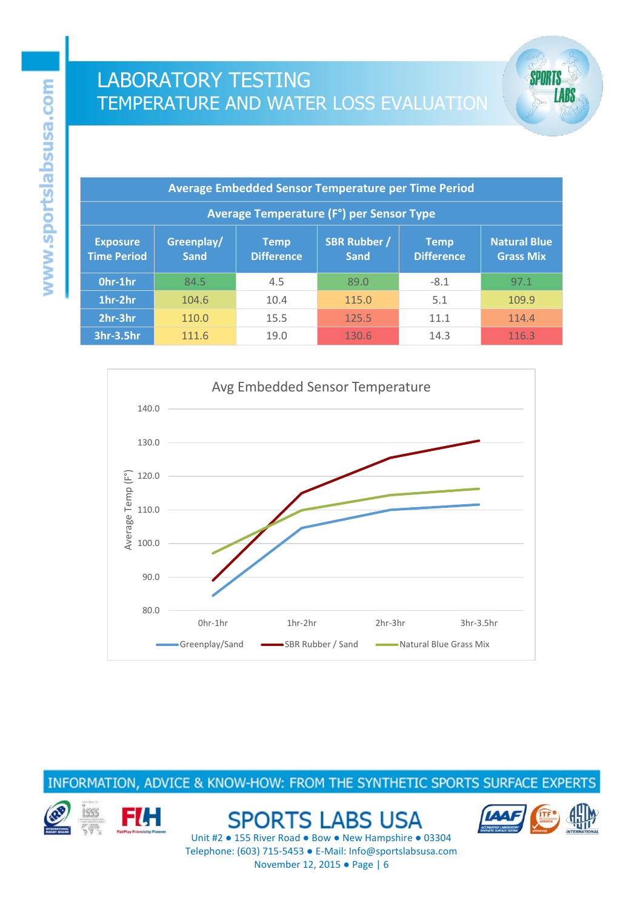



INFORMATION, ADVICE & KNOW-HOW: FROM THE SYNTHETIC SPORTS SURFACE EXPERTS



**SPORTS LABS USA** 



**SPORTS** 

**LABS**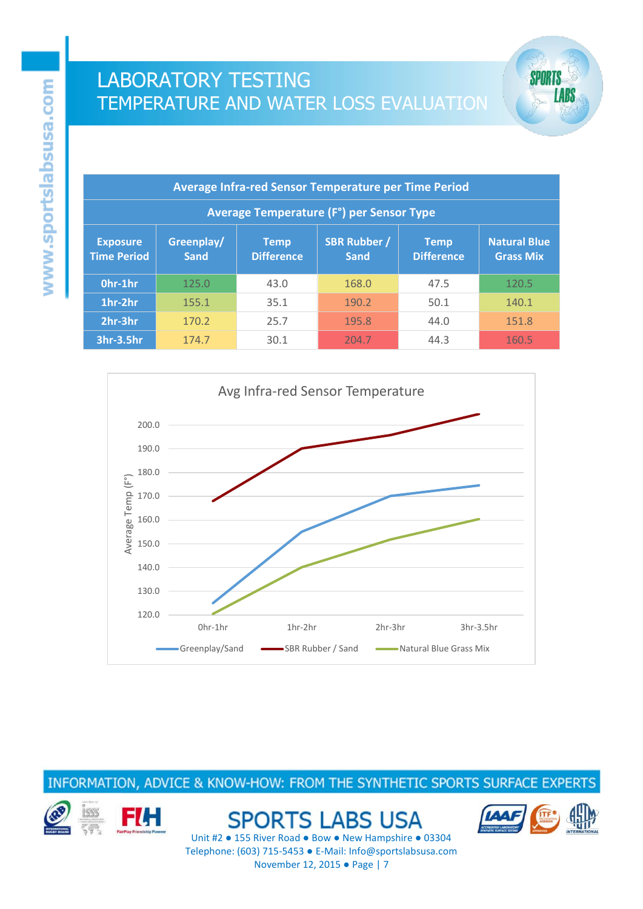



INFORMATION, ADVICE & KNOW-HOW: FROM THE SYNTHETIC SPORTS SURFACE EXPERTS



**SPORTS LABS USA** 



**SPORTS** 

**LABS**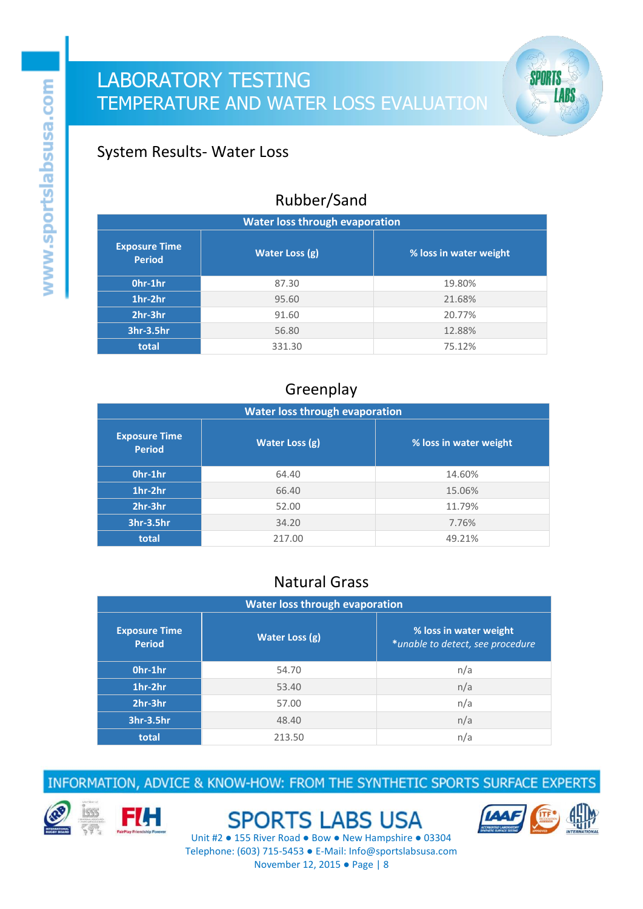### System Results- Water Loss

### Rubber/Sand

| <b>Water loss through evaporation</b> |                |                        |  |  |  |  |
|---------------------------------------|----------------|------------------------|--|--|--|--|
| <b>Exposure Time</b><br><b>Period</b> | Water Loss (g) | % loss in water weight |  |  |  |  |
| Ohr-1hr                               | 87.30          | 19.80%                 |  |  |  |  |
| 1hr-2hr                               | 95.60          | 21.68%                 |  |  |  |  |
| 2hr-3hr                               | 91.60          | 20.77%                 |  |  |  |  |
| 3hr-3.5hr                             | 56.80          | 12.88%                 |  |  |  |  |
| total                                 | 331.30         | 75.12%                 |  |  |  |  |

### Greenplay

| <b>Water loss through evaporation</b> |                |                        |  |  |  |
|---------------------------------------|----------------|------------------------|--|--|--|
| <b>Exposure Time</b><br><b>Period</b> | Water Loss (g) | % loss in water weight |  |  |  |
| Ohr-1hr                               | 64.40          | 14.60%                 |  |  |  |
| 1hr-2hr                               | 66.40          | 15.06%                 |  |  |  |
| 2hr-3hr                               | 52.00          | 11.79%                 |  |  |  |
| 3hr-3.5hr                             | 34.20          | 7.76%                  |  |  |  |
| total                                 | 217.00         | 49.21%                 |  |  |  |

## Natural Grass

| <b>Water loss through evaporation</b> |                       |                                                            |  |  |  |
|---------------------------------------|-----------------------|------------------------------------------------------------|--|--|--|
| <b>Exposure Time</b><br><b>Period</b> | <b>Water Loss (g)</b> | % loss in water weight<br>*unable to detect, see procedure |  |  |  |
| Ohr-1hr                               | 54.70                 | n/a                                                        |  |  |  |
| 1hr-2hr                               | 53.40                 | n/a                                                        |  |  |  |
| 2hr-3hr                               | 57.00                 | n/a                                                        |  |  |  |
| 3hr-3.5hr                             | 48.40                 | n/a                                                        |  |  |  |
| total                                 | 213.50                | n/a                                                        |  |  |  |

INFORMATION, ADVICE & KNOW-HOW: FROM THE SYNTHETIC SPORTS SURFACE EXPERTS





**SPORTS LABS USA** 



**SPORTS** 

**LABS**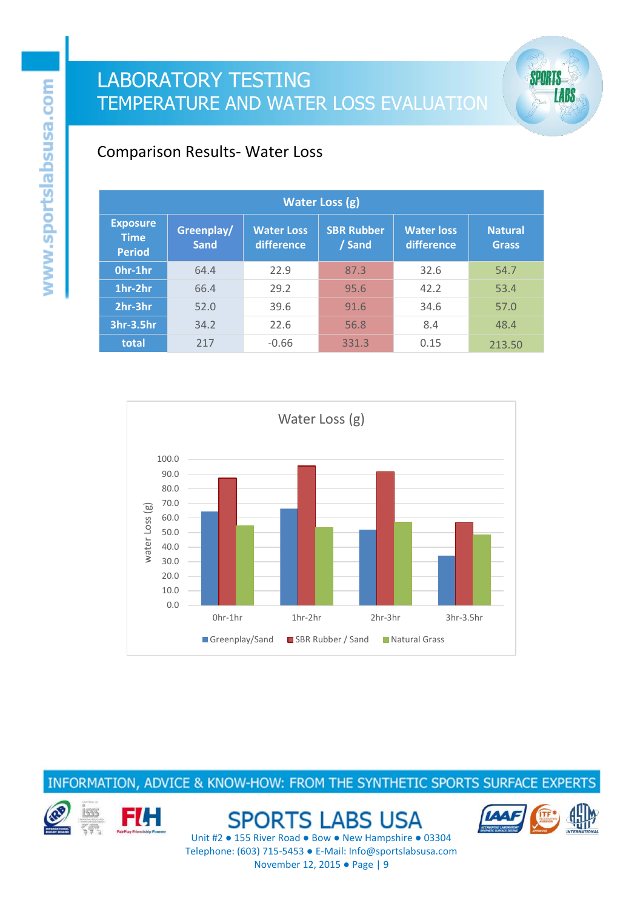

### Comparison Results- Water Loss

| <b>Water Loss (g)</b>                           |                           |                                 |                             |                                 |                                |  |
|-------------------------------------------------|---------------------------|---------------------------------|-----------------------------|---------------------------------|--------------------------------|--|
| <b>Exposure</b><br><b>Time</b><br><b>Period</b> | Greenplay/<br><b>Sand</b> | <b>Water Loss</b><br>difference | <b>SBR Rubber</b><br>/ Sand | <b>Water loss</b><br>difference | <b>Natural</b><br><b>Grass</b> |  |
| Ohr-1hr                                         | 64.4                      | 22.9                            | 87.3                        | 32.6                            | 54.7                           |  |
| 1hr-2hr                                         | 66.4                      | 29.2                            | 95.6                        | 42.2                            | 53.4                           |  |
| 2hr-3hr                                         | 52.0                      | 39.6                            | 91.6                        | 34.6                            | 57.0                           |  |
| 3hr-3.5hr                                       | 34.2                      | 22.6                            | 56.8                        | 8.4                             | 48.4                           |  |
| total                                           | 217                       | $-0.66$                         | 331.3                       | 0.15                            | 213.50                         |  |



INFORMATION, ADVICE & KNOW-HOW: FROM THE SYNTHETIC SPORTS SURFACE EXPERTS



**SPORTS LABS USA** 

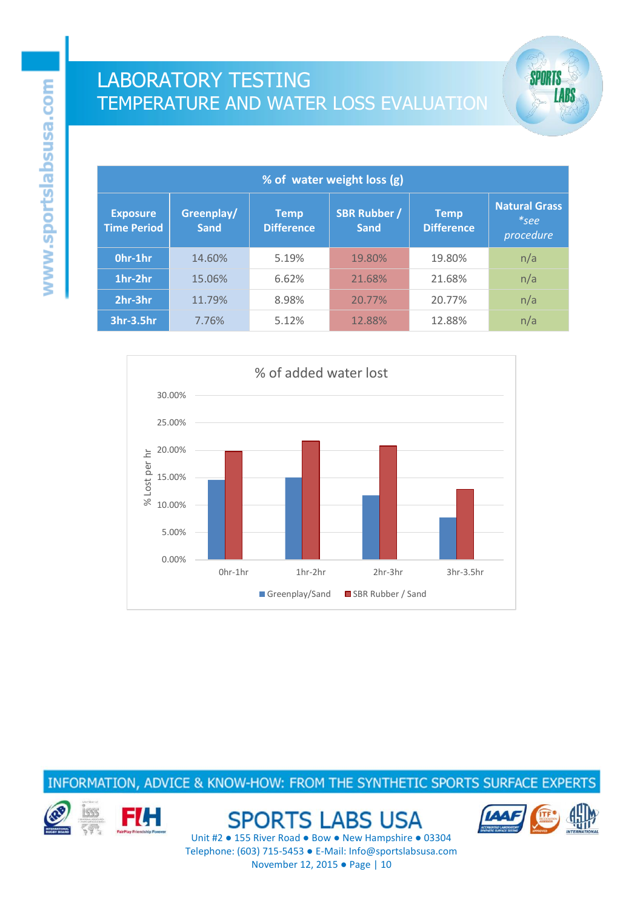



INFORMATION, ADVICE & KNOW-HOW: FROM THE SYNTHETIC SPORTS SURFACE EXPERTS



**SPORTS LABS USA** 



**SPORTS** 

**LABS**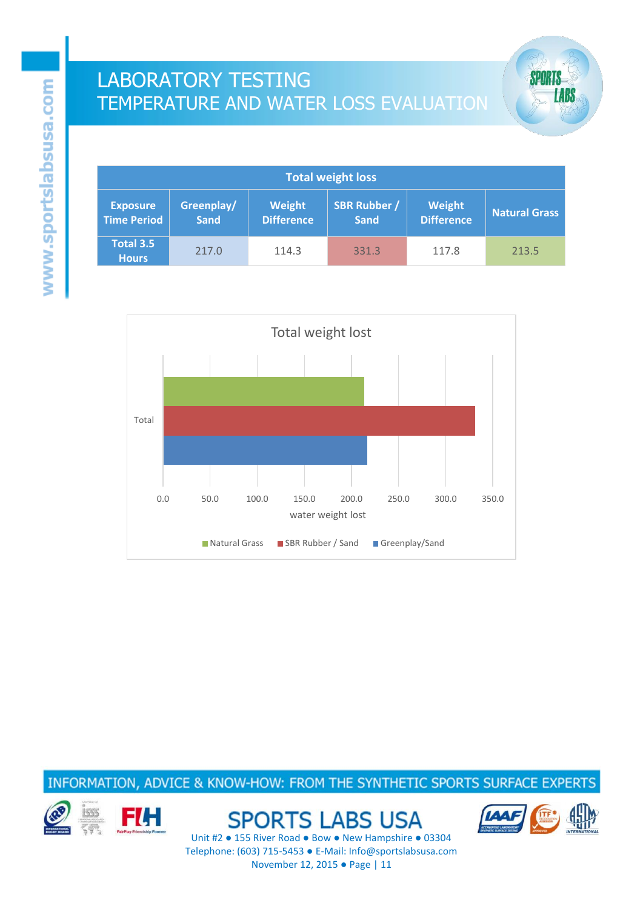



#### INFORMATION, ADVICE & KNOW-HOW: FROM THE SYNTHETIC SPORTS SURFACE EXPERTS



**SPORTS LABS USA** 



**SPORTS** 

**LABS**